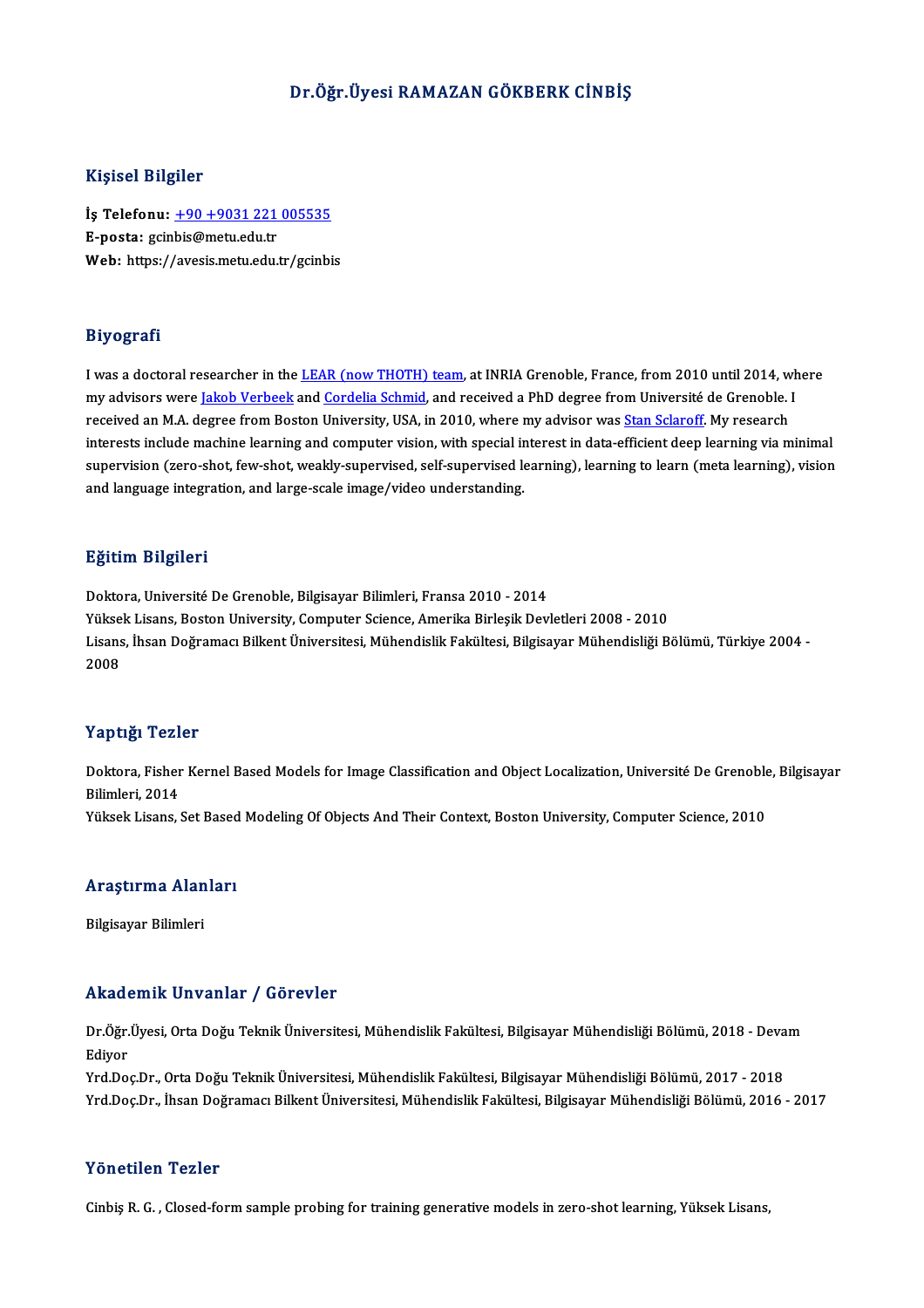### Dr.Öğr.Üyesi RAMAZAN GÖKBERK CİNBİŞ

#### Kişisel Bilgiler

Kişisel Bilgiler<br>İş Telefonu: <u>+90 +9031 221 005535</u><br>E nasta: ssinbis@metu.edu.tr 11131001<br>Ly Telefonu: <u>+90 +9031 221</u><br>E-posta: gcinbis@metu.edu.tr<br>Web: https://avesis.metu.edu.tr İş Telefonu: <u>+90 +9031 221 005535</u><br>E-posta: gcinbis@metu.edu.tr<br>Web: https:/[/avesis.metu.edu.tr/gcinb](tel:+90 +9031 221 005535)is Web: https://avesis.metu.edu.tr/gcinbis<br>Biyografi

I was a doctoral researcher in the LEAR (now THOTH) team, at INRIA Grenoble, France, from 2010 until 2014, where my ogency.<br>I was a doctoral researcher in the <u>LEAR (now THOTH) team</u>, at INRIA Grenoble, France, from 2010 until 2014, wh<br>my advisors were <u>Jakob Verbeek</u> and <u>Cordelia Schmid</u>, and received a PhD degree from Université d I was a doctoral researcher in the <u>LEAR (now THOTH) team</u>, at INRIA Grenoble, France, from 2010 until 2014, w<br>my advisors were <u>Jakob Verbeek</u> and <u>Cordelia Schmid</u>, and received a PhD degree from Université de Grenoble. my advisors were <u>Jakob Verbeek</u> and <u>Cordelia Schmid</u>, and received a PhD degree from Université de Grenoble. I<br>received an M.A. degree from Boston University, USA, in 2010, where my advisor was <u>Stan Sclaroff</u>. My resear received an M.A. degree from Boston University, USA, in 2010, where my advisor was <u>Stan Sclaroff</u>. My research<br>interests include machine learning and computer vision, with special interest in data-efficient deep learning and language integration, and large-scale image/video understanding.

#### Eğitim Bilgileri

Doktora, Université De Grenoble, Bilgisayar Bilimleri, Fransa 2010 - 2014 ngrenn Dirgireri<br>Doktora, Université De Grenoble, Bilgisayar Bilimleri, Fransa 2010 - 2014<br>Yüksek Lisans, Boston University, Computer Science, Amerika Birleşik Devletleri 2008 - 2010<br>Lisans, İbaan Doğraması Billiant Üniver Lisans, İhsan Doğramacı Bilkent Üniversitesi, Mühendislik Fakültesi, Bilgisayar Mühendisliği Bölümü, Türkiye 2004 -<br>2008 Yükse<br>Lisans<br>2008

#### Yaptığı Tezler

**Yaptığı Tezler**<br>Doktora, Fisher Kernel Based Models for Image Classification and Object Localization, Université De Grenoble, Bilgisayar<br>Bilimlori, 2014 1 up up 1 uni<br>Doktora, Fisher<br>Bilimleri, 2014<br><sup>Välsels Lisens</sup> Doktora, Fisher Kernel Based Models for Image Classification and Object Localization, Université De Grenoble<br>Bilimleri, 2014<br>Yüksek Lisans, Set Based Modeling Of Objects And Their Context, Boston University, Computer Scien

# ruksek Lisans, set Based<br>Araştırma Alanları <mark>Araştırma Alan</mark><br>Bilgisayar Bilimleri

# Akademik Unvanlar / Görevler

**Akademik Unvanlar / Görevler**<br>Dr.Öğr.Üyesi, Orta Doğu Teknik Üniversitesi, Mühendislik Fakültesi, Bilgisayar Mühendisliği Bölümü, 2018 - Devam<br>Fdiver rrnaa<br>Dr.Öğr<br>Ediyor<br><sup>Vrd Do</sup> Dr.Öğr.Üyesi, Orta Doğu Teknik Üniversitesi, Mühendislik Fakültesi, Bilgisayar Mühendisliği Bölümü, 2018 - Deva<br>Ediyor<br>Yrd.Doç.Dr., Orta Doğu Teknik Üniversitesi, Mühendislik Fakültesi, Bilgisayar Mühendisliği Bölümü, 2017

Ediyor<br>Yrd.Doç.Dr., Orta Doğu Teknik Üniversitesi, Mühendislik Fakültesi, Bilgisayar Mühendisliği Bölümü, 2017 - 2018<br>Yrd.Doç.Dr., İhsan Doğramacı Bilkent Üniversitesi, Mühendislik Fakültesi, Bilgisayar Mühendisliği Bölümü Yrd.Doç.Dr., İhsan Doğramacı Bilkent Üniversitesi, Mühendislik Fakültesi, Bilgisayar Mühendisliği Bölümü, 2016 - 2017<br>Yönetilen Tezler

Cinbiş R. G., Closed-form sample probing for training generative models in zero-shot learning, Yüksek Lisans,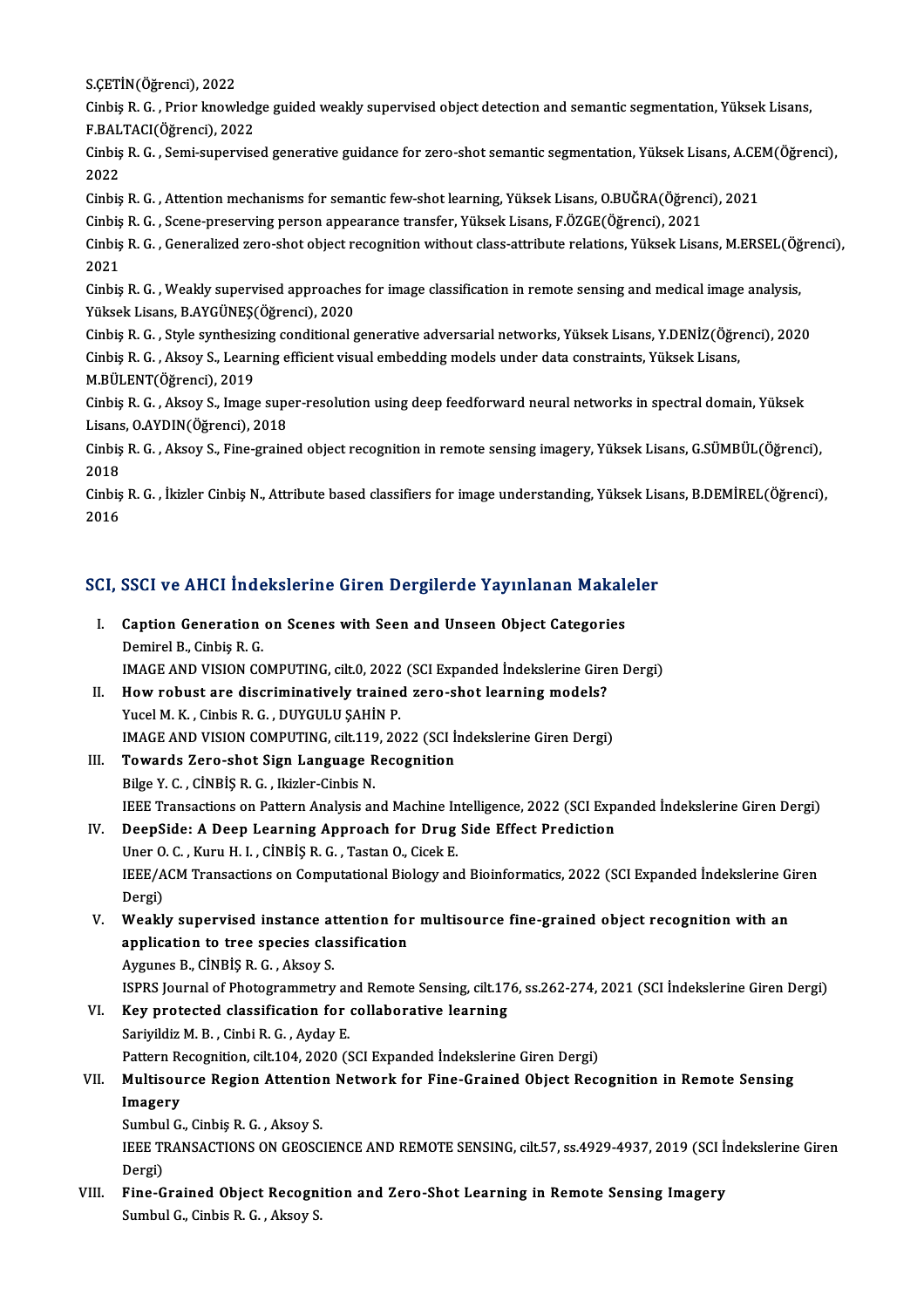S.ÇETİN(Öğrenci), 2022<br>S.ÇETİN(Öğrenci), 2022<br>Cinhia B. C. - Prior İmovil

Cinbiş R. G. , Prior knowledge guided weakly supervised object detection and semantic segmentation, Yüksek Lisans,<br>F.BALTACI(Öğrenci), 2022 S.ÇETİN(Öğrenci), 2022<br>Cinbiş R. G. , Prior knowled<sub>{</sub><br>F.BALTACI(Öğrenci), 2022<br>Cinbis P. C. , Semi sunowiss Cinbiş R. G. , Prior knowledge guided weakly supervised object detection and semantic segmentation, Yüksek Lisans,<br>F.BALTACI(Öğrenci), 2022<br>Cinbiş R. G. , Semi-supervised generative guidance for zero-shot semantic segmenta

F.BAL<br>Cinbiş<br>2022<br>Cinbis Cinbiş R. G. , Semi-supervised generative guidance for zero-shot semantic segmentation, Yüksek Lisans, A.CE<br>2022<br>Cinbiş R. G. , Attention mechanisms for semantic few-shot learning, Yüksek Lisans, O.BUĞRA(Öğrenci), 2021<br>Cin

2022<br>Cinbiş R. G. , Attention mechanisms for semantic few-shot learning, Yüksek Lisans, O.BUĞRA(Öğrenci), 2021

Cinbiş R. G. , Attention mechanisms for semantic few-shot learning, Yüksek Lisans, O.BUĞRA(Öğrenci), 2021<br>Cinbiş R. G. , Scene-preserving person appearance transfer, Yüksek Lisans, F.ÖZGE(Öğrenci), 2021<br>Cinbiş R. G. , Gene Cinbiş R. G. , Scene-preserving person appearance transfer, Yüksek Lisans, F.ÖZGE(Öğrenci), 2021<br>Cinbiş R. G. , Generalized zero-shot object recognition without class-attribute relations, Yüksek Lisa<br>2021 Cinbiş R. G. , Generalized zero-shot object recognition without class-attribute relations, Yüksek Lisans, M.ERSEL(Öğ<br>2021<br>Cinbiş R. G. , Weakly supervised approaches for image classification in remote sensing and medical i

2021<br>Cinbiş R. G. , Weakly supervised approaches<br>Yüksek Lisans, B.AYGÜNEŞ(Öğrenci), 2020<br>Cinbis B. C. , Style synthesizing sonditional s Cinbiş R. G. , Weakly supervised approaches for image classification in remote sensing and medical image analysis,<br>Yüksek Lisans, B.AYGÜNEŞ(Öğrenci), 2020<br>Cinbiş R. G. , Style synthesizing conditional generative adversaria

Yüksek Lisans, B.AYGÜNEŞ(Öğrenci), 2020<br>Cinbiş R. G. , Style synthesizing conditional generative adversarial networks, Yüksek Lisans, Y.DENİZ(Öğrenci), 2020<br>Cinbiş R. G. , Aksoy S., Learning efficient visual embedding mode M.BÜLENT(Öğrenci),2019 Cinbiş R. G. , Aksoy S., Learning efficient visual embedding models under data constraints, Yüksek Lisans,<br>M.BÜLENT(Öğrenci), 2019<br>Cinbiş R. G. , Aksoy S., Image super-resolution using deep feedforward neural networks in s

M.BÜLENT(Öğrenci), 2019<br>Cinbiş R. G. , Aksoy S., Image supe<br>Lisans, O.AYDIN(Öğrenci), 2018<br>Cinbis B. G. , Aksoy S. Eine graine Lisans, OAYDIN(Öğrenci), 2018

Cinbiş R. G. , Aksoy S., Fine-grained object recognition in remote sensing imagery, Yüksek Lisans, G.SÜMBÜL(Öğrenci),<br>2018 Cinbiş R. G. , Aksoy S., Fine-grained object recognition in remote sensing imagery, Yüksek Lisans, G.SÜMBÜL(Öğrenci),<br>2018<br>Cinbiş R. G. , İkizler Cinbiş N., Attribute based classifiers for image understanding, Yüksek Lisan

2018<br>Cinbiş<br>2016

# <sub>2016</sub><br>SCI, SSCI ve AHCI İndekslerine Giren Dergilerde Yayınlanan Makaleler

|    | <b>SCI, SSCI ve AHCI İndekslerine Giren Dergilerde Yayınlanan Makaleler</b>      |
|----|----------------------------------------------------------------------------------|
| I. | Caption Generation on Scenes with Seen and Unseen Object Categories              |
|    | Demirel B, Cinbis R. G.                                                          |
|    | IMAGE AND VISION COMPUTING, cilt.0, 2022 (SCI Expanded Indekslerine Giren Dergi) |
| П. | How robust are discriminatively trained zero-shot learning models?               |
|    | Vusal M V Cinhig D C DIWCHI H CAHIN D                                            |

- Yucel M.K., Cinbis R.G., DUYGULU ŞAHİN P. How robust are discriminatively trained zero-shot learning models?<br>Yucel M. K. , Cinbis R. G. , DUYGULU ŞAHİN P.<br>IMAGE AND VISION COMPUTING, cilt.119, 2022 (SCI İndekslerine Giren Dergi)<br>Towarda Zaro shot Sian Language Bec
- III. Towards Zero-shot Sign Language Recognition<br>Bilge Y. C., CINBIS R. G., Ikizler-Cinbis N. IMAGE AND VISION COMPUTING, cilt.119<br>Towards Zero-shot Sign Language R<br>Bilge Y. C. , CİNBİŞ R. G. , Ikizler-Cinbis N.<br>IEEE Transastians en Battarn Analysia an Towards Zero-shot Sign Language Recognition<br>Bilge Y. C. , CINBIŞ R. G. , Ikizler-Cinbis N.<br>IEEE Transactions on Pattern Analysis and Machine Intelligence, 2022 (SCI Expanded İndekslerine Giren Dergi)<br>PeerSide: A Deen Learn Bilge Y. C., CINBIS R. G., Ikizler-Cinbis N.<br>IEEE Transactions on Pattern Analysis and Machine Intelligence, 2022 (SCI Exp.<br>IV. DeepSide: A Deep Learning Approach for Drug Side Effect Prediction
- IEEE Transactions on Pattern Analysis and Machine In<br>DeepSide: A Deep Learning Approach for Drug<br>Uner O. C. , Kuru H. I. , CİNBİŞ R. G. , Tastan O., Cicek E.<br>IEEE (ACM Transastions on Computational Biology on DeepSide: A Deep Learning Approach for Drug Side Effect Prediction<br>Uner O. C. , Kuru H. I. , CİNBİŞ R. G. , Tastan O., Cicek E.<br>IEEE/ACM Transactions on Computational Biology and Bioinformatics, 2022 (SCI Expanded İndeksle Uner O<br>IEEE/A<br>Dergi)<br>Weakh IEEE/ACM Transactions on Computational Biology and Bioinformatics, 2022 (SCI Expanded Indekslerine G.<br>Dergi)<br>V. Weakly supervised instance attention for multisource fine-grained object recognition with an<br>annisotion to tre
- Dergi)<br>V. Weakly supervised instance attention for multisource fine-grained object recognition with an<br>application to tree species classification Aygunes B., CİNBİŞ R. G., Aksoy S. application to tree species classification<br>Aygunes B., CİNBİŞ R. G. , Aksoy S.<br>ISPRS Journal of Photogrammetry and Remote Sensing, cilt.176, ss.262-274, 2021 (SCI İndekslerine Giren Dergi)<br>Kay pretasted slassifisation for
- VI. Key protected classification for collaborative learning<br>Sariyildiz M. B., Cinbi R. G., Ayday E. SPRS Journal of Photogrammetry an<br>Key protected classification for<br>Sariyildiz M. B., Cinbi R. G., Ayday E.<br>Pettern Pessentijon silt 104, 2020 (S Pattern Recognition, cilt.104, 2020 (SCI Expanded İndekslerine Giren Dergi)

## Sariyildiz M. B. , Cinbi R. G. , Ayday E.<br>Pattern Recognition, cilt.104, 2020 (SCI Expanded Indekslerine Giren Dergi)<br>VII. Multisource Region Attention Network for Fine-Grained Object Recognition in Remote Sensing<br>Imag Pattern Re<br>Multisou<br>Imagery<br>Sumbul C Multisource Region Attention<br>Imagery<br>Sumbul G., Cinbiş R. G. , Aksoy S.<br>JEEE TRANSACTIONS ON CEOSC

I**magery**<br>Sumbul G., Cinbiş R. G. , Aksoy S.<br>IEEE TRANSACTIONS ON GEOSCIENCE AND REMOTE SENSING, cilt.57, ss.4929-4937, 2019 (SCI İndekslerine Giren Sumbu<br>IEEE TI<br>Dergi)<br>Eine C IEEE TRANSACTIONS ON GEOSCIENCE AND REMOTE SENSING, cilt.57, ss.4929-4937, 2019 (SCI İn<br>Dergi)<br>VIII. Fine-Grained Object Recognition and Zero-Shot Learning in Remote Sensing Imagery<br>Sumbul G. Sinbia B. G. Alrew S.

Dergi)<br>Fine-Grained Object Recognition and Zero-Shot Learning in Remote Sensing Imagery<br>Sumbul G., Cinbis R. G. , Aksoy S.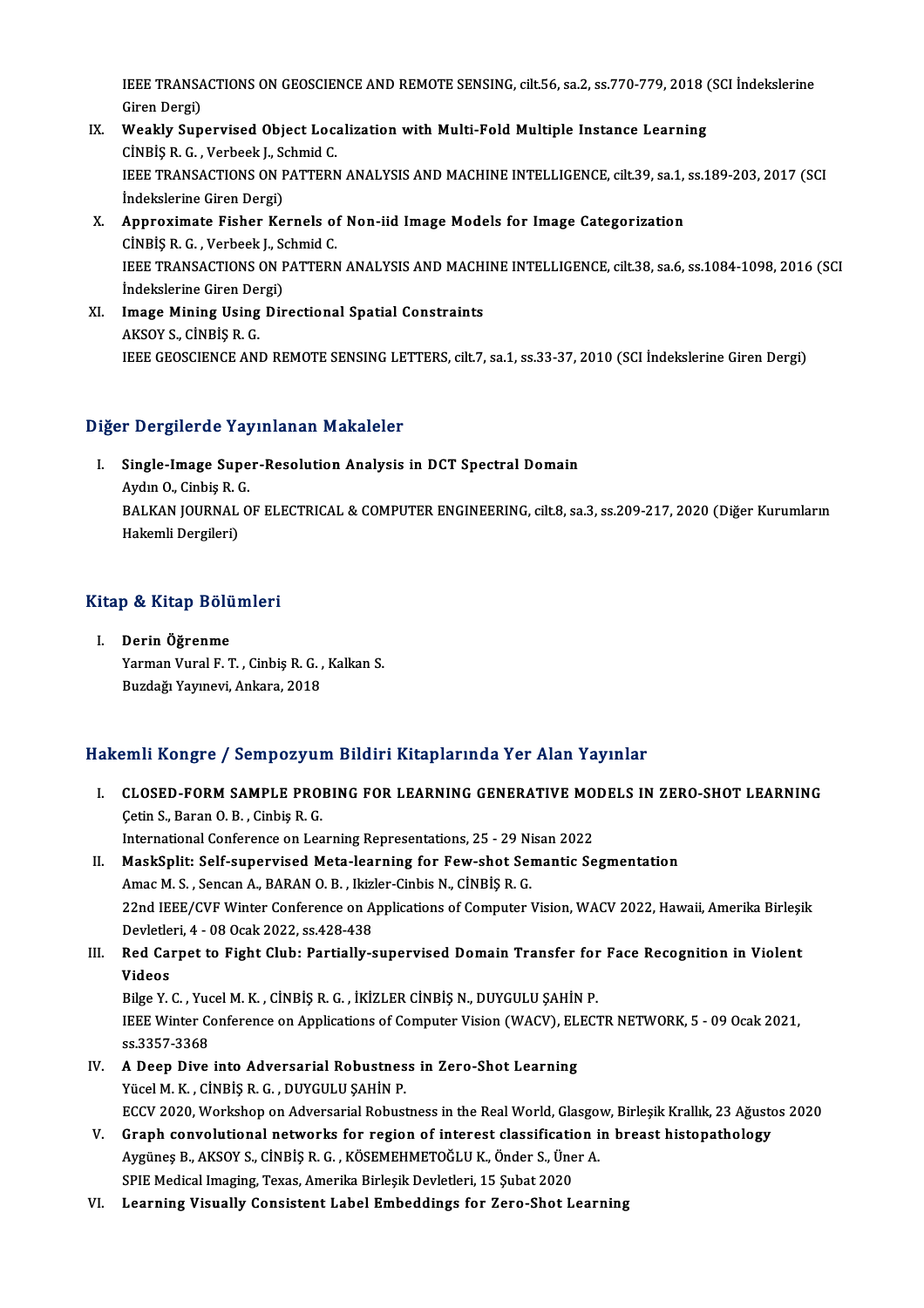IEEE TRANSACTIONS ON GEOSCIENCE AND REMOTE SENSING, cilt.56, sa.2, ss.770-779, 2018 (SCI İndekslerine<br>Ciron Dergi) **IEEE TRANSA**<br>Giren Dergi)<br>Weekk Sun IEEE TRANSACTIONS ON GEOSCIENCE AND REMOTE SENSING, cilt.56, sa.2, ss.770-779, 2018 (<br>Giren Dergi)<br>IX. Weakly Supervised Object Localization with Multi-Fold Multiple Instance Learning<br>Cinpis B.C. Verbeek J. Schmid.C.

- Giren Dergi)<br>Weakly Supervised Object Loc<del>.</del><br>CİNBİŞ R. G. , Verbeek J., Schmid C.<br>JEEE TRANSACTIONS ON RATTERN IX. Weakly Supervised Object Localization with Multi-Fold Multiple Instance Learning<br>CINBIŞ R. G., Verbeek J., Schmid C.<br>IEEE TRANSACTIONS ON PATTERN ANALYSIS AND MACHINE INTELLIGENCE, cilt.39, sa.1, ss.189-203, 2017 (SCI<br> CINBIŞ R. G. , Verbeek J., S.<br>IEEE TRANSACTIONS ON F<br>İndekslerine Giren Dergi)<br>Annravimata Fishar Ka IEEE TRANSACTIONS ON PATTERN ANALYSIS AND MACHINE INTELLIGENCE, cilt.39, sa.1,<br>
indekslerine Giren Dergi)<br>
X. Approximate Fisher Kernels of Non-iid Image Models for Image Categorization<br>
cinpis P.C. Verbeek L. Sehmid C.
- Indekslerine Giren Dergi)<br>Approximate Fisher Kernels of<br>CINBIŞ R. G. , Verbeek J., Schmid C.<br>IEEE TPANSACTIONS ON PATTEPN Approximate Fisher Kernels of Non-iid Image Models for Image Categorization<br>CİNBİŞ R. G. , Verbeek J., Schmid C.<br>IEEE TRANSACTIONS ON PATTERN ANALYSIS AND MACHINE INTELLIGENCE, cilt.38, sa.6, ss.1084-1098, 2016 (SCI<br>İndeks CINBIŞ R. G. , Verbeek J., S.<br>IEEE TRANSACTIONS ON F<br>İndekslerine Giren Dergi)<br>Image Mining Heing Dir IEEE TRANSACTIONS ON PATTERN ANALYSIS AND MACH.<br>
Indekslerine Giren Dergi)<br>
XI. Image Mining Using Directional Spatial Constraints<br>
AKSOV S. CINPIS P. C.
- İndekslerine Giren Dei<br>Image Mining Using<br>AKSOY S., CİNBİŞ R. G.<br>IEEE CEOSCIENCE ANI AKSOY S., CİNBİŞ R. G.<br>IEEE GEOSCIENCE AND REMOTE SENSING LETTERS, cilt.7, sa.1, ss.33-37, 2010 (SCI İndekslerine Giren Dergi)

### Diğer Dergilerde Yayınlanan Makaleler

iğer Dergilerde Yayınlanan Makaleler<br>I. Single-Image Super-Resolution Analysis in DCT Spectral Domain Aydın O., Cinbiş R. G.<br>Aydın O., Cinbiş R. G.<br>BALKAN IQUENAL O. Single-Image Super-Resolution Analysis in DCT Spectral Domain<br>Aydın O., Cinbiş R. G.<br>BALKAN JOURNAL OF ELECTRICAL & COMPUTER ENGINEERING, cilt.8, sa.3, ss.209-217, 2020 (Diğer Kurumların<br>Hakamli Dargilari) Aydın O., Cinbiş R. (<br>BALKAN JOURNAL<br>Hakemli Dergileri)

# nakemii bergileri)<br>Kitap & Kitap Bölümleri

<mark>itap & Kitap Bölü</mark><br>I. Derin Öğrenme<br><sup>Vormon Vurol E T</sup> I. Derin Öğrenme<br>Yarman Vural F. T. , Cinbiş R. G. , Kalkan S. BuzdağıYayınevi,Ankara,2018

## Hakemli Kongre / Sempozyum Bildiri Kitaplarında Yer Alan Yayınlar

- I. CLOSED-FORM SAMPLE PROBING FOR LEARNING GENERATIVE MODELS IN ZERO-SHOT LEARNING ÇetinS.,BaranO.B. ,CinbişR.G. International Conference on Learning Representations, 25 - 29 Nisan 2022 Cetin S., Baran O. B. , Cinbiş R. G.<br>International Conference on Learning Representations, 25 - 29 Nisan 2022<br>II. MaskSplit: Self-supervised Meta-learning for Few-shot Semantic Segmentation<br>Amas M. S. Songan A. BABAN O. B.
- International Conference on Learning Representations, 25 29 Ni<br>MaskSplit: Self-supervised Meta-learning for Few-shot Sei<br>Amac M. S., Sencan A., BARAN O. B., Ikizler-Cinbis N., CİNBİŞ R. G.<br>22nd IEEE (CVE Winter Conferenc MaskSplit: Self-supervised Meta-learning for Few-shot Semantic Segmentation<br>Amac M. S. , Sencan A., BARAN O. B. , Ikizler-Cinbis N., CİNBİŞ R. G.<br>22nd IEEE/CVF Winter Conference on Applications of Computer Vision, WACV 202 Amac M. S. , Sencan A., BARAN O. B. , Ikiz<br>22nd IEEE/CVF Winter Conference on A<br>Devletleri, 4 - 08 Ocak 2022, ss.428-438<br>Bod Carnot to Fight Club, Bortially c 22nd IEEE/CVF Winter Conference on Applications of Computer Vision, WACV 2022, Hawaii, Amerika Birleşi<br>Devletleri, 4 - 08 Ocak 2022, ss.428-438<br>III. Red Carpet to Fight Club: Partially-supervised Domain Transfer for Face R
- Devletle<br>Red Car<br>Videos<br><sup>Pilge V</sup> Red Carpet to Fight Club: Partially-supervised Domain Transfer for<br>Videos<br>Bilge Y. C. , Yucel M. K. , CİNBİŞ R. G. , İKİZLER CİNBİŞ N., DUYGULU ŞAHİN P.<br>IEEE Winter Conference on Applications of Computer Vision (WACV), ELE

Videos<br>Bilge Y. C. , Yucel M. K. , CİNBİŞ R. G. , İKİZLER CİNBİŞ N., DUYGULU ŞAHİN P.<br>IEEE Winter Conference on Applications of Computer Vision (WACV), ELECTR NETWORK, 5 - 09 Ocak 2021,<br>23.2257.2268 Bilge Y. C. , Yuo<br>IEEE Winter Coss.3357-3368 IEEE Winter Conference on Applications of Computer Vision (WACV), EL<br>ss.3357-3368<br>IV. A Deep Dive into Adversarial Robustness in Zero-Shot Learning<br>Visel M K, Cinpis B C, DUVCULU SAHIN B

- ss.3357-3368<br>A Deep Dive into Adversarial Robustnes<br>Yücel M.K. , CİNBİŞ R. G. , DUYGULU ŞAHİN P.<br>FCCV 2020 Workeban an Advarsarial Babust A Deep Dive into Adversarial Robustness in Zero-Shot Learning<br>Yücel M. K. , CİNBİŞ R. G. , DUYGULU ŞAHİN P.<br>ECCV 2020, Workshop on Adversarial Robustness in the Real World, Glasgow, Birleşik Krallık, 23 Ağustos 2020<br>Cranh Yücel M. K. , CİNBİŞ R. G. , DUYGULU ŞAHİN P.<br>ECCV 2020, Workshop on Adversarial Robustness in the Real World, Glasgow, Birleşik Krallık, 23 Ağusto<br>V. Graph convolutional networks for region of interest classification in b
- ECCV 2020, Workshop on Adversarial Robustness in the Real World, Glasgov<br>Graph convolutional networks for region of interest classification is<br>Aygüneş B., AKSOY S., CİNBİŞ R. G. , KÖSEMEHMETOĞLU K., Önder S., Üner A. V. Graph convolutional networks for region of interest classification in breast histopathology<br>Aygüneş B., AKSOY S., CİNBİŞ R. G. , KÖSEMEHMETOĞLU K., Önder S., Üner A.<br>SPIE Medical Imaging, Texas, Amerika Birleşik Devletl
- VI. Learning Visually Consistent Label Embeddings for Zero-Shot Learning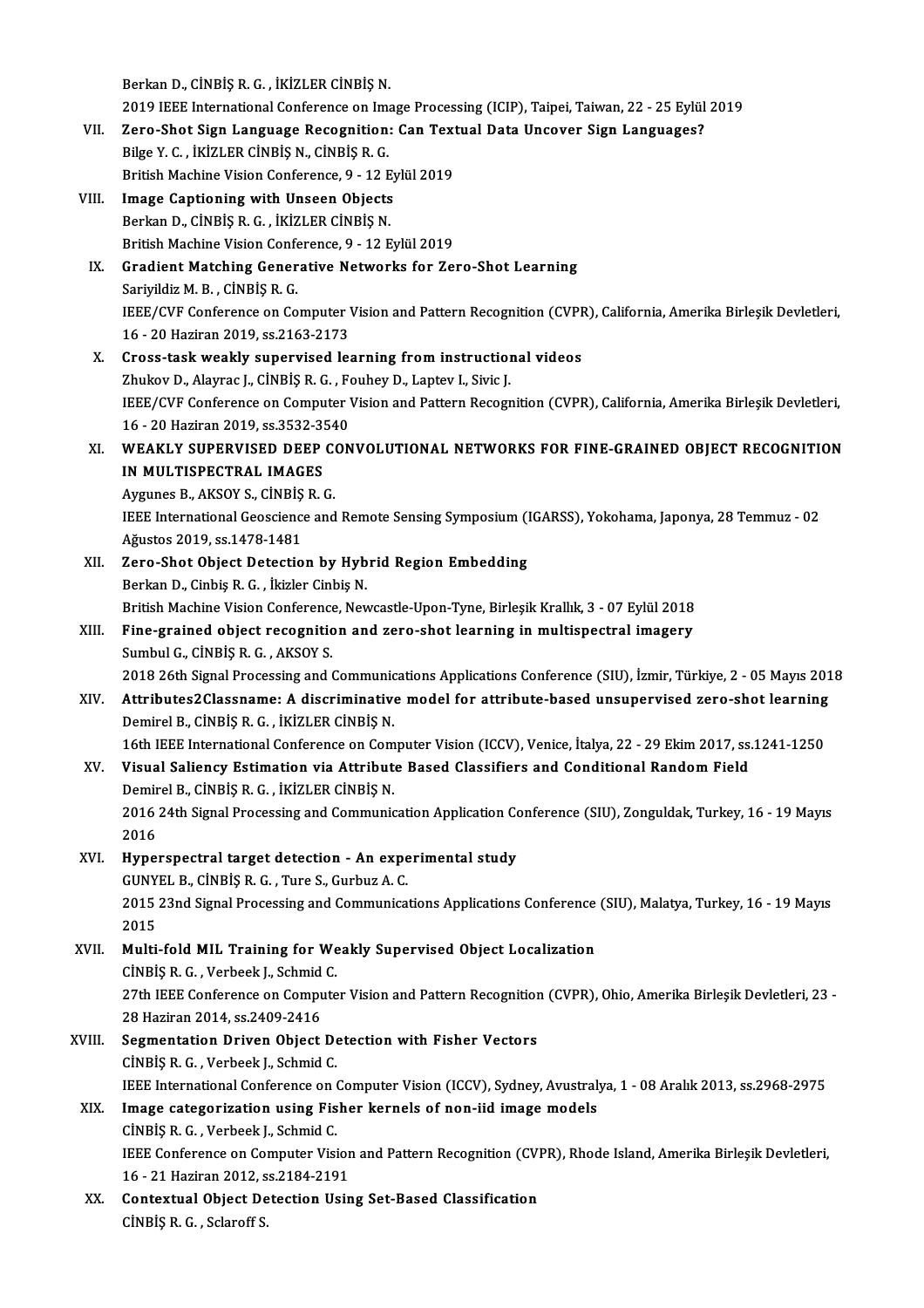Berkan D., CİNBİŞ R. G., İKİZLER CİNBİŞ N.

Berkan D., CİNBİŞ R. G. , İKİZLER CİNBİŞ N.<br>2019 IEEE International Conference on Image Processing (ICIP), Taipei, Taiwan, 22 - 25 Eylül 2019<br>Zana Shat Sian Language Besegnition: Can Taytual Data Ungever Sian Languagee?

- Berkan D., CİNBİŞ R. G. , İKİZLER CİNBİŞ N.<br>2019 IEEE International Conference on Image Processing (ICIP), Taipei, Taiwan, 22 25 Eylül<br>VII. Zero-Shot Sign Language Recognition: Can Textual Data Uncover Sign Languages 2019 IEEE International Conference on Imanual Sero-Shot Sign Language Recognition<br>Bilge Y. C. , İKİZLER CİNBİŞ N., CİNBİŞ R. G.<br>British Mashine Vision Conference 0, 12 B Zero-Shot Sign Language Recognition: Can Text<br>Bilge Y. C. , İKİZLER CİNBİŞ N., CİNBİŞ R. G.<br>British Machine Vision Conference, 9 - 12 Eylül 2019<br>Image Cantioning with Unseen Objects Bilge Y. C., İKİZLER CİNBİŞ N., CİNBİŞ R. G.<br>British Machine Vision Conference, 9 - 12 Eylül 2019<br>VIII. Image Captioning with Unseen Objects
- Berkan D., CİNBİŞ R. G., İKİZLER CİNBİŞ N. British Machine Vision Conference, 9 - 12 Eylül 2019 Berkan D., CİNBİŞ R. G. , İKİZLER CİNBİŞ N.<br>British Machine Vision Conference, 9 - 12 Eylül 2019<br>IX. Gradient Matching Generative Networks for Zero-Shot Learning<br>Serivildiz M. B., CİNBİS B. C

## British Machine Vision Confer<br>Gradient Matching Gener<br>Sariyildiz M. B. , CİNBİŞ R. G.<br>IEEE (CVE Conference on Co Gradient Matching Generative Networks for Zero-Shot Learning<br>Sariyildiz M. B. , CİNBİŞ R. G.<br>IEEE/CVF Conference on Computer Vision and Pattern Recognition (CVPR), California, Amerika Birleşik Devletleri,<br>16. 20 Hariran 20 Sariyildiz M. B. , CİNBİŞ R. G.<br>IEEE/CVF Conference on Computer V<br>16 - 20 Haziran 2019, ss.2163-2173<br>Cross. task weakly, sunaryisad las IEEE/CVF Conference on Computer Vision and Pattern Recognition (CVPF<br>16 - 20 Haziran 2019, ss.2163-2173<br>X. Cross-task weakly supervised learning from instructional videos<br>7bultou D. Alaume L. Chiptis B. G. Foubou D. Lantau

- 16 20 Haziran 2019, ss.2163-2173<br>Cross-task weakly supervised learning from instruction<br>Zhukov D., Alayrac J., CİNBİŞ R.G. , Fouhey D., Laptev I., Sivic J.<br>JEEE (CVE Conference on Computer Vision and Pettern Besogn Cross-task weakly supervised learning from instructional videos<br>Zhukov D., Alayrac J., CİNBİŞ R. G. , Fouhey D., Laptev I., Sivic J.<br>IEEE/CVF Conference on Computer Vision and Pattern Recognition (CVPR), California, Amerik Zhukov D., Alayrac J., CİNBİŞ R. G. , F.<br>IEEE/CVF Conference on Computer V<br>16 - 20 Haziran 2019, ss.3532-3540<br>WEAKLY SUPERVISED DEER CON IEEE/CVF Conference on Computer Vision and Pattern Recognition (CVPR), California, Amerika Birleşik Devletleri,<br>16 - 20 Haziran 2019, ss.3532-3540<br>XI. WEAKLY SUPERVISED DEEP CONVOLUTIONAL NETWORKS FOR FINE-GRAINED OBJECT R
- 16 20 Haziran 2019, ss.3532-3!<br>WEAKLY SUPERVISED DEEP<br>IN MULTISPECTRAL IMAGES WEAKLY SUPERVISED DEEP CONTRIBINGS<br>Aygunes B., AKSOY S., CİNBİŞ R. G.<br>HEEF International Geogriance and

IN MULTISPECTRAL IMAGES<br>Aygunes B., AKSOY S., CİNBİŞ R. G.<br>IEEE International Geoscience and Remote Sensing Symposium (IGARSS), Yokohama, Japonya, 28 Temmuz - 02<br>Ağustos 2019, ss 1479-1481 Aygunes B., AKSOY S., CİNBİŞ<br>IEEE International Geoscience<br>Ağustos 2019, ss.1478-1481<br>Zere Shet Object Detectio

- Ağustos 2019, ss.1478-1481<br>XII. Zero-Shot Object Detection by Hybrid Region Embedding BerkanD.,CinbişR.G. , İkizler CinbişN. Zero-Shot Object Detection by Hybrid Region Embedding<br>Berkan D., Cinbiş R. G. , İkizler Cinbiş N.<br>British Machine Vision Conference, Newcastle-Upon-Tyne, Birleşik Krallık, 3 - 07 Eylül 2018<br>Fine grained object resegnition
- Berkan D., Cinbiş R. G. , İkizler Cinbiş N.<br>British Machine Vision Conference, Newcastle-Upon-Tyne, Birleşik Krallık, 3 07 Eylül 2018<br>XIII. Fine-grained object recognition and zero-shot learning in multispectral imagery<br> British Machine Vision Conference<br>Fine-grained object recognitic<br>Sumbul G., CİNBİŞ R. G. , AKSOY S.<br>2019 26th Signal Precessing and t 2018 26th SignalProcessing andCommunicationsApplicationsConference (SIU), İzmir,Türkiye,2 -05Mayıs2018

- Sumbul G., CİNBİŞ R. G. , AKSOY S.<br>2018 26th Signal Processing and Communications Applications Conference (SIU), İzmir, Türkiye, 2 05 Mayıs 201<br>XIV. Attributes2Classname: A discriminative model for attribute-based un Demirel B., CİNBİŞ R. G. , İKİZLER CİNBİŞ N.<br>16th IEEE International Conference on Computer Vision (ICCV), Venice, İtalya, 22 - 29 Ekim 2017, ss.1241-1250 Attributes2Classname: A discriminative model for attribute-based unsupervised zero-shot learning<br>Demirel B., CİNBİŞ R. G. , İKİZLER CİNBİŞ N.<br>16th IEEE International Conference on Computer Vision (ICCV), Venice, İtalya, 22
- XV. Visual Saliency Estimation via Attribute Based Classifiers and Conditional Random Field 16th IEEE International Conference on Com<br>Visual Saliency Estimation via Attribut<br>Demirel B., CİNBİŞ R.G. , İKİZLER CİNBİŞ N. 2016 24th Signal Processing and Communication Application Conference (SIU), Zonguldak, Turkey, 16 - 19 Mayıs<br>2016 Demir<br>2016<br>2016<br>Hype
- 2016 24th Signal Processing and Communication Application Co.<br>2016<br>XVI. Hyperspectral target detection An experimental study<br>CUNVEL B. CUNPIS B. C. Ture S. Curbus A. C. 2016<br>Hyperspectral target detection - An expe<br>GUNYEL B., CINBIŞ R. G. , Ture S., Gurbuz A. C.<br>2015 22nd Signal Presessing and Communica 2015 23nd Signal Processing and Communications Applications Conference (SIU), Malatya, Turkey, 16 - 19 Mayıs<br>2015 GUNYEL B., CINBIS R. G., Ture S., Gurbuz A. C. 2015 23nd Signal Processing and Communications Applications Conference<br>2015<br>XVII. Multi-fold MIL Training for Weakly Supervised Object Localization<br>Cinpis B.C. Verbeek L. Schmid C

2015<br>Multi-fold MIL Training for We<br>CİNBİŞ R. G. , Verbeek J., Schmid C.<br>27th IEEE Conference en Compute Multi-fold MIL Training for Weakly Supervised Object Localization<br>CİNBİŞ R. G. , Verbeek J., Schmid C.<br>27th IEEE Conference on Computer Vision and Pattern Recognition (CVPR), Ohio, Amerika Birleşik Devletleri, 23 -<br>28 Hari CINBIŞ R. G. , Verbeek J., Schmid<br>27th IEEE Conference on Compu<br>28 Haziran 2014, ss.2409-2416<br>Seamentation Driven Object 27th IEEE Conference on Computer Vision and Pattern Recognition<br>28 Haziran 2014, ss.2409-2416<br>XVIII. Segmentation Driven Object Detection with Fisher Vectors<br>CINPIS B.C. Verbeek J. Schmid.C.

## 28 Haziran 2014, ss.2409-2416<br>Segmentation Driven Object De<br>CİNBİŞ R. G. , Verbeek J., Schmid C.<br>JEEE International Conference on A Segmentation Driven Object Detection with Fisher Vectors<br>CINBIŞ R. G. , Verbeek J., Schmid C.<br>IEEE International Conference on Computer Vision (ICCV), Sydney, Avustralya, 1 - 08 Aralık 2013, ss.2968-2975<br>Image estegenizati CINBIŞ R. G., Verbeek J., Schmid C.<br>IEEE International Conference on Computer Vision (ICCV), Sydney, Avustral<br>XIX. Image categorization using Fisher kernels of non-iid image models<br>CINBIS R. G., Verbeek J., Schmid C.

## IEEE International Conference on (<br>Image categorization using Fis<br>CİNBİŞ R. G. , Verbeek J., Schmid C.<br>IEEE Conference on Computer Visi I<mark>mage categorization using Fisher kernels of non-iid image models</mark><br>CİNBİŞ R. G. , Verbeek J., Schmid C.<br>IEEE Conference on Computer Vision and Pattern Recognition (CVPR), Rhode Island, Amerika Birleşik Devletleri,<br>16 . 31 CİNBİŞ R. G. , Verbeek J., Schmid C.<br>IEEE Conference on Computer Vision<br>16 - 21 Haziran 2012, ss.2184-2191<br>Contentual Object Detection Hein IEEE Conference on Computer Vision and Pattern Recognition (CV)<br>16 - 21 Haziran 2012, ss.2184-2191<br>XX. Contextual Object Detection Using Set-Based Classification<br>Cinpis B.C. Sclapeff S.

16 - 21 Haziran 2012, s<br><mark>Contextual Object De</mark><br>CİNBİŞ R. G. , Sclaroff S.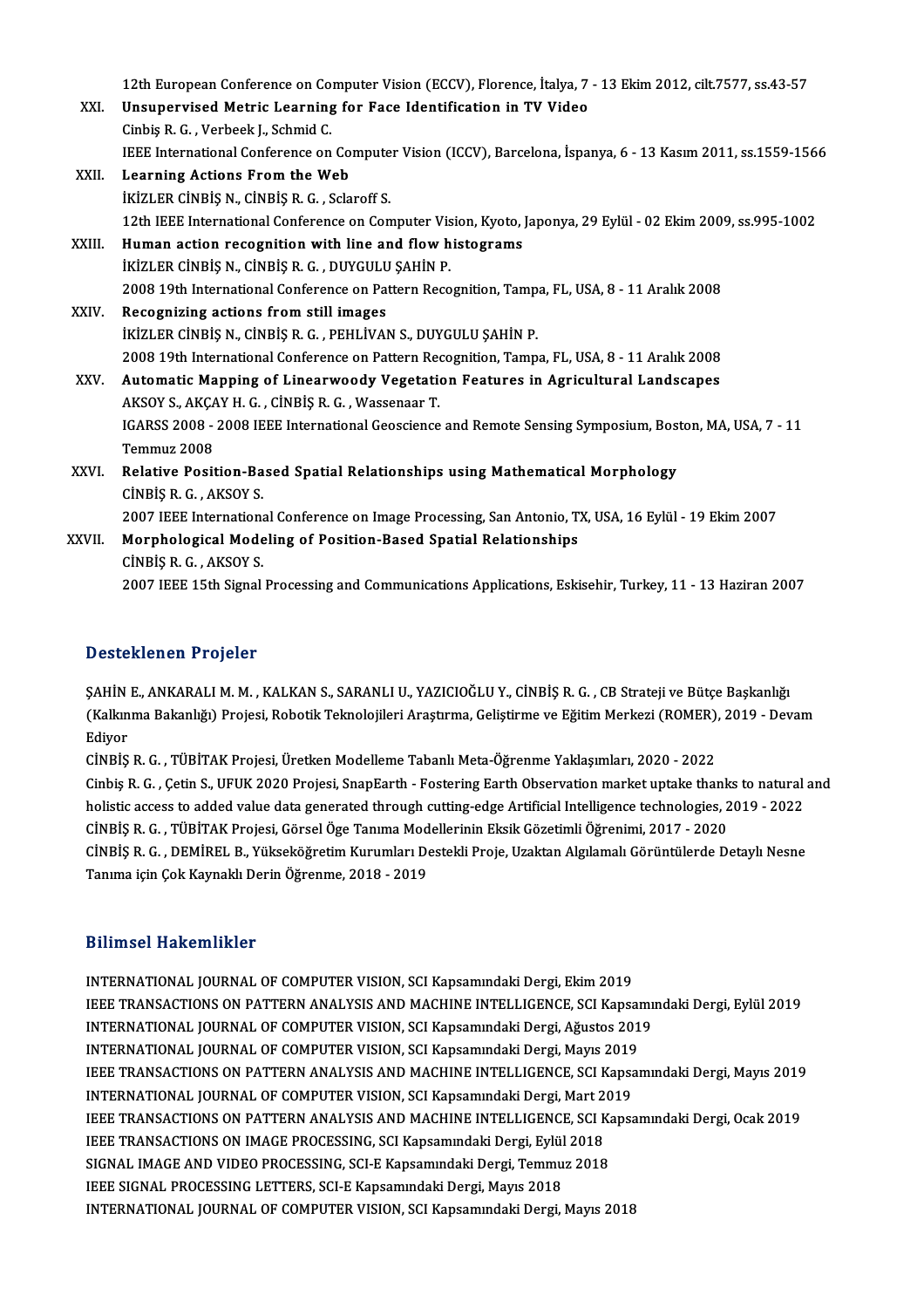12th European Conference on Computer Vision (ECCV), Florence, İtalya, 7 - 13 Ekim 2012, cilt.7577, ss.43-57<br>Unaunerwised Metric Learning fon Fase Identification in TV Video 12th European Conference on Computer Vision (ECCV), Florence, İtalya, 7<br>XXI. Unsupervised Metric Learning for Face Identification in TV Video 12th European Conference on Co.<br>Unsupervised Metric Learning<br>Cinbiş R. G. , Verbeek J., Schmid C.<br>IEEE International Conference on Unsupervised Metric Learning for Face Identification in TV Video<br>Cinbiş R. G. , Verbeek J., Schmid C.<br>IEEE International Conference on Computer Vision (ICCV), Barcelona, İspanya, 6 - 13 Kasım 2011, ss.1559-1566<br>Learning As Cinbiş R. G. , Verbeek J., Schmid C.<br>IEEE International Conference on Compute:<br>XXII. Learning Actions From the Web<br>IKIZLER CINBIS N., CINBIS R. G. , Sclaroff S. IEEE International Conference on Compute<br>Learning Actions From the Web<br>İKİZLER CİNBİŞ N., CİNBİŞ R. G. , Sclaroff S.<br>12th IEEE International Conference on Con Learning Actions From the Web<br>İKİZLER CİNBİŞ N., CİNBİŞ R. G. , Sclaroff S.<br>12th IEEE International Conference on Computer Vision, Kyoto, Japonya, 29 Eylül - 02 Ekim 2009, ss.995-1002<br>Human astion resesenition with line an IKIZLER CINBIS N., CINBIS R. G., Sclaroff S.<br>12th IEEE International Conference on Computer Vision, Kyoto,<br>XXIII. Human action recognition with line and flow histograms<br>ivizi EP CiNBIS N. CINBIS R.C. DUVCULU SAHIN R 12th IEEE International Conference on Computer Vis<br>Human action recognition with line and flow h<br>İKİZLER CİNBİŞ N., CİNBİŞ R. G. , DUYGULU ŞAHİN P. Human action recognition with line and flow histograms<br>IKİZLER CİNBİŞ N., CİNBİŞ R. G. , DUYGULU ŞAHİN P.<br>2008 19th International Conference on Pattern Recognition, Tampa, FL, USA, 8 - 11 Aralık 2008<br>Besegniting astions fr IKIZLER CINBIŞ N., CINBIŞ R. G., DUYGULU<br>2008 19th International Conference on Pate<br>XXIV. Recognizing actions from still images<br>ivizi ER CINBIS N. CINBIS R. G. BEHI IVAL 2008 19th International Conference on Pattern Recognition, Tamp<br>Recognizing actions from still images<br>İKİZLER CİNBİŞ N., CİNBİŞ R. G. , PEHLİVAN S., DUYGULU ŞAHİN P.<br>2008 10th International Conference en Pattern Becegnitio Recognizing actions from still images<br>19th International Conference on Pattern Recognition, Tampa, FL, USA, 8 - 11 Aralık 2008<br>2008 19th International Conference on Pattern Recognition, Tampa, FL, USA, 8 - 11 Aralık 2008 IKIZLER CINBIȘ N., CINBIȘ R. G. , PEHLIVAN S., DUYGULU ȘAHIN P.<br>2008 19th International Conference on Pattern Recognition, Tampa, FL, USA, 8 - 11 Aralık 2008<br>XXV. Automatic Mapping of Linearwoody Vegetation Features in Agr 2008 19th International Conference on Pattern Rec<br>Automatic Mapping of Linearwoody Vegetation<br>AKSOY S., AKÇAY H. G. , CİNBİŞ R. G. , Wassenaar T.<br>ICARSS 2009 - 2009 JEEE International Coossiones IGARSS 2008 - 2008 IEEE International Geoscience and Remote Sensing Symposium, Boston, MA, USA, 7 - 11<br>Temmuz 2008 AKSOY S., AKCAY H. G., CINBIS R. G., Wassenaar T. IGARSS 2008 - 2008 IEEE International Geoscience and Remote Sensing Symposium, Bost<br>Temmuz 2008<br>XXVI. Relative Position-Based Spatial Relationships using Mathematical Morphology<br>CINPIS B.C. AVSOV S Temmuz 2008<br>Relative Position-Ba<br>CİNBİŞ R. G. , AKSOY S.<br>2007 IEEE Internation Relative Position-Based Spatial Relationships using Mathematical Morphology<br>CINBIŞ R. G. , AKSOY S.<br>2007 IEEE International Conference on Image Processing, San Antonio, TX, USA, 16 Eylül - 19 Ekim 2007<br>Mannhalagisal Madeli CINBIŞ R. G., AKSOY S.<br>2007 IEEE International Conference on Image Processing, San Antonio, T.<br>XXVII. Morphological Modeling of Position-Based Spatial Relationships<br>CINDIS B. C. AKSOY S. 2007 IEEE Internation<br>Morphological Mode<br>CİNBİŞ R.G. , AKSOY S. Morphological Modeling of Position-Based Spatial Relationships<br>CINBIŞ R. G. , AKSOY S.<br>2007 IEEE 15th Signal Processing and Communications Applications, Eskisehir, Turkey, 11 - 13 Haziran 2007

### Desteklenen Projeler

SAHİN E., ANKARALI M. M., KALKAN S., SARANLI U., YAZICIOĞLU Y., CİNBİŞ R. G., CB Strateji ve Bütçe Başkanlığı D'OSCENTEN'N Y'YESER<br>ŞAHİN E., ANKARALI M. M. , KALKAN S., SARANLI U., YAZICIOĞLU Y., CİNBİŞ R. G. , CB Strateji ve Bütçe Başkanlığı<br>(Kalkınma Bakanlığı) Projesi, Robotik Teknolojileri Araştırma, Geliştirme ve Eğitim Merke ŞAHİN<br>(Kalkın<br>Ediyor<br>*C*inpis (Kalkınma Bakanlığı) Projesi, Robotik Teknolojileri Araştırma, Geliştirme ve Eğitim Merkezi (ROMER),<br>Ediyor<br>CİNBİŞ R. G. , TÜBİTAK Projesi, Üretken Modelleme Tabanlı Meta-Öğrenme Yaklaşımları, 2020 - 2022<br>Cinbia R. G. , Ge

Ediyor<br>CİNBİŞ R. G. , TÜBİTAK Projesi, Üretken Modelleme Tabanlı Meta-Öğrenme Yaklaşımları, 2020 - 2022<br>Cinbiş R. G. , Çetin S., UFUK 2020 Projesi, SnapEarth - Fostering Earth Observation market uptake thanks to natural an CINBIŞ R. G. , TÜBİTAK Projesi, Üretken Modelleme Tabanlı Meta-Öğrenme Yaklaşımları, 2020 - 2022<br>Cinbiş R. G. , Çetin S., UFUK 2020 Projesi, SnapEarth - Fostering Earth Observation market uptake thanks to natural<br>holistic Cinbiş R. G. , Çetin S., UFUK 2020 Projesi, SnapEarth - Fostering Earth Observation market uptake thank<br>holistic access to added value data generated through cutting-edge Artificial Intelligence technologies, 2<br>CİNBİŞ R. G holistic access to added value data generated through cutting-edge Artificial Intelligence technologies, 2019 - 2022<br>CİNBİŞ R. G. , TÜBİTAK Projesi, Görsel Öge Tanıma Modellerinin Eksik Gözetimli Öğrenimi, 2017 - 2020<br>CİNB CİNBİŞ R. G. , TÜBİTAK Projesi, Görsel Öge Tanıma Mod<br>CİNBİŞ R. G. , DEMİREL B., Yükseköğretim Kurumları De<br>Tanıma için Çok Kaynaklı Derin Öğrenme, 2018 - 2019 Tanıma için Çok Kaynaklı Derin Öğrenme, 2018 - 2019<br>Bilimsel Hakemlikler

INTERNATIONAL JOURNAL OF COMPUTER VISION, SCI Kapsamındaki Dergi, Ekim 2019 D'ITINOOT TRANSIMITINGI<br>INTERNATIONAL JOURNAL OF COMPUTER VISION, SCI Kapsamındaki Dergi, Ekim 2019<br>IEEE TRANSACTIONS ON PATTERN ANALYSIS AND MACHINE INTELLIGENCE, SCI Kapsamındaki Dergi, Eylül 2019<br>INTERNATIONAL JOURNAL O INTERNATIONAL JOURNAL OF COMPUTER VISION, SCI Kapsamındaki Dergi, Ekim 2019<br>IEEE TRANSACTIONS ON PATTERN ANALYSIS AND MACHINE INTELLIGENCE, SCI Kapsamı<br>INTERNATIONAL JOURNAL OF COMPUTER VISION, SCI Kapsamındaki Dergi, Ağus IEEE TRANSACTIONS ON PATTERN ANALYSIS AND MACHINE INTELLIGENCE, SCI Kapsai<br>INTERNATIONAL JOURNAL OF COMPUTER VISION, SCI Kapsamındaki Dergi, Ağustos 201<br>INTERNATIONAL JOURNAL OF COMPUTER VISION, SCI Kapsamındaki Dergi, May INTERNATIONAL JOURNAL OF COMPUTER VISION, SCI Kapsamındaki Dergi, Ağustos 2019<br>INTERNATIONAL JOURNAL OF COMPUTER VISION, SCI Kapsamındaki Dergi, Mayıs 2019<br>IEEE TRANSACTIONS ON PATTERN ANALYSIS AND MACHINE INTELLIGENCE, SC INTERNATIONAL JOURNAL OF COMPUTER VISION, SCI Kapsamındaki Dergi, Mayıs 2019<br>IEEE TRANSACTIONS ON PATTERN ANALYSIS AND MACHINE INTELLIGENCE, SCI Kapsa<br>INTERNATIONAL JOURNAL OF COMPUTER VISION, SCI Kapsamındaki Dergi, Mart IEEE TRANSACTIONS ON PATTERN ANALYSIS AND MACHINE INTELLIGENCE, SCI Kapsamındaki Dergi, Mayıs 2019<br>INTERNATIONAL JOURNAL OF COMPUTER VISION, SCI Kapsamındaki Dergi, Mart 2019<br>IEEE TRANSACTIONS ON PATTERN ANALYSIS AND MACHI INTERNATIONAL JOURNAL OF COMPUTER VISION, SCI Kapsamındaki Dergi, Mart 2<br>IEEE TRANSACTIONS ON PATTERN ANALYSIS AND MACHINE INTELLIGENCE, SCI K<br>IEEE TRANSACTIONS ON IMAGE PROCESSING, SCI Kapsamındaki Dergi, Eylül 2018<br>SICNA IEEE TRANSACTIONS ON PATTERN ANALYSIS AND MACHINE INTELLIGENCE, SCI Kapsamındaki Dergi, Ocak 2019<br>IEEE TRANSACTIONS ON IMAGE PROCESSING, SCI Kapsamındaki Dergi, Eylül 2018<br>SIGNAL IMAGE AND VIDEO PROCESSING, SCI-E Kapsamınd IEEE TRANSACTIONS ON IMAGE PROCESSING, SCI Kapsamındaki Dergi, Eylül 2018 INTERNATIONAL JOURNAL OF COMPUTER VISION, SCI Kapsamındaki Dergi, Mayıs 2018